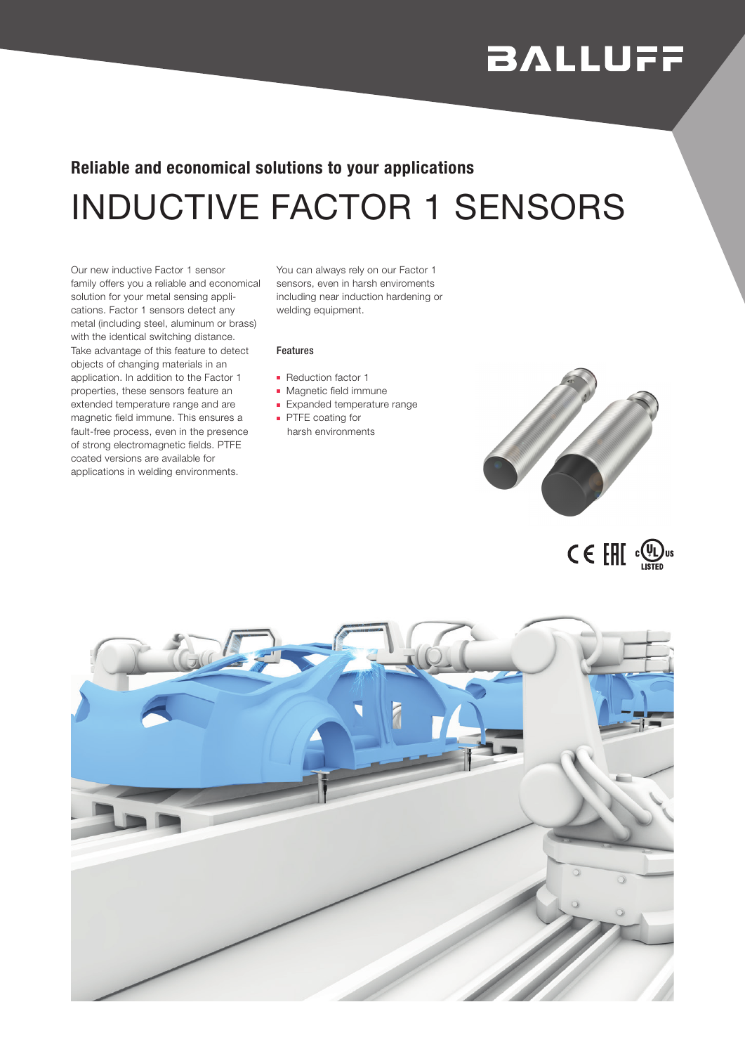## **BALLUFF**

## INDUCTIVE FACTOR 1 SENSORS Reliable and economical solutions to your applications

Our new inductive Factor 1 sensor family offers you a reliable and economical solution for your metal sensing applications. Factor 1 sensors detect any metal (including steel, aluminum or brass) with the identical switching distance. Take advantage of this feature to detect objects of changing materials in an application. In addition to the Factor 1 properties, these sensors feature an extended temperature range and are magnetic field immune. This ensures a fault-free process, even in the presence of strong electromagnetic fields. PTFE coated versions are available for applications in welding environments.

You can always rely on our Factor 1 sensors, even in harsh enviroments including near induction hardening or welding equipment.

## Features

- Reduction factor 1
- Magnetic field immune
- Expanded temperature range
- PTFE coating for harsh environments